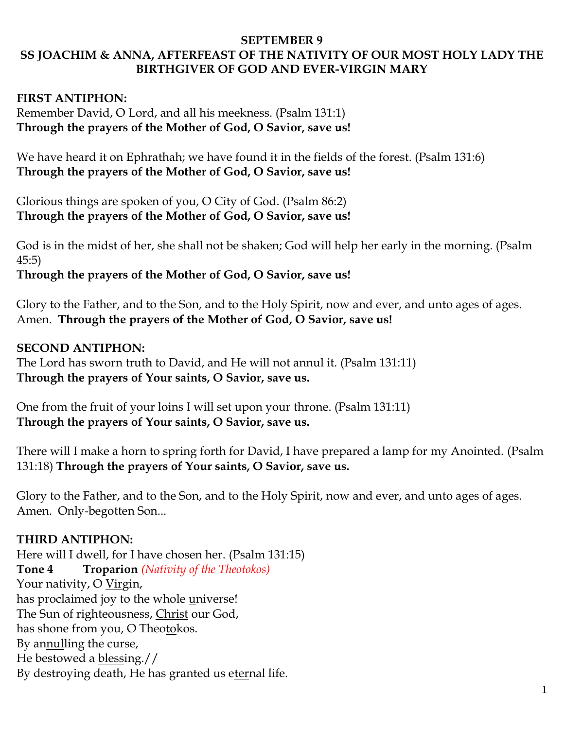#### **SEPTEMBER 9 SS JOACHIM & ANNA, AFTERFEAST OF THE NATIVITY OF OUR MOST HOLY LADY THE BIRTHGIVER OF GOD AND EVER-VIRGIN MARY**

### **FIRST ANTIPHON:**

Remember David, O Lord, and all his meekness. (Psalm 131:1) **Through the prayers of the Mother of God, O Savior, save us!**

We have heard it on Ephrathah; we have found it in the fields of the forest. (Psalm 131:6) **Through the prayers of the Mother of God, O Savior, save us!**

Glorious things are spoken of you, O City of God. (Psalm 86:2) **Through the prayers of the Mother of God, O Savior, save us!**

God is in the midst of her, she shall not be shaken; God will help her early in the morning. (Psalm 45:5)

**Through the prayers of the Mother of God, O Savior, save us!**

Glory to the Father, and to the Son, and to the Holy Spirit, now and ever, and unto ages of ages. Amen. **Through the prayers of the Mother of God, O Savior, save us!**

#### **SECOND ANTIPHON:**

The Lord has sworn truth to David, and He will not annul it. (Psalm 131:11) **Through the prayers of Your saints, O Savior, save us.**

One from the fruit of your loins I will set upon your throne. (Psalm 131:11) **Through the prayers of Your saints, O Savior, save us.**

There will I make a horn to spring forth for David, I have prepared a lamp for my Anointed. (Psalm 131:18) **Through the prayers of Your saints, O Savior, save us.**

Glory to the Father, and to the Son, and to the Holy Spirit, now and ever, and unto ages of ages. Amen. Only-begotten Son...

#### **THIRD ANTIPHON:**

Here will I dwell, for I have chosen her. (Psalm 131:15) **Tone 4 Troparion** *(Nativity of the Theotokos)* Your nativity, O Virgin, has proclaimed joy to the whole universe! The Sun of righteousness, Christ our God, has shone from you, O Theotokos. By annulling the curse, He bestowed a blessing.// By destroying death, He has granted us eternal life.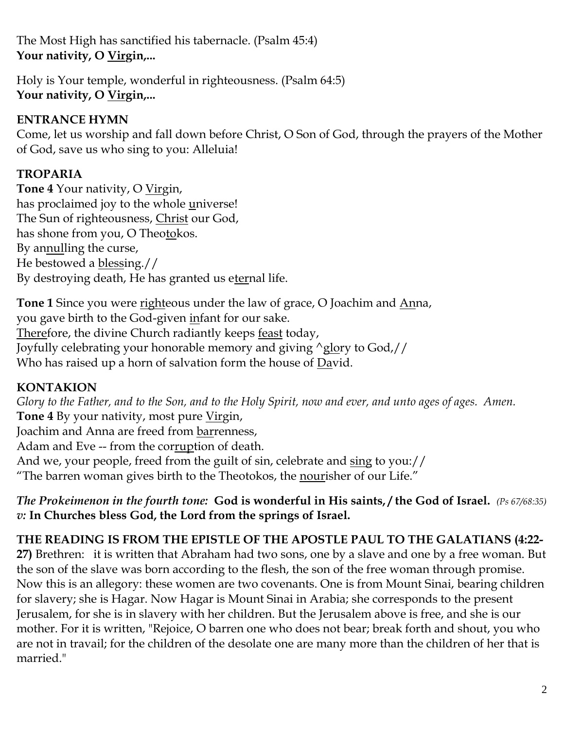The Most High has sanctified his tabernacle. (Psalm 45:4) **Your nativity, O Virgin,...**

Holy is Your temple, wonderful in righteousness. (Psalm 64:5) **Your nativity, O Virgin,...**

# **ENTRANCE HYMN**

Come, let us worship and fall down before Christ, O Son of God, through the prayers of the Mother of God, save us who sing to you: Alleluia!

# **TROPARIA**

**Tone 4** Your nativity, O Virgin, has proclaimed joy to the whole universe! The Sun of righteousness, Christ our God, has shone from you, O Theotokos. By annulling the curse, He bestowed a blessing.// By destroying death, He has granted us eternal life.

**Tone 1** Since you were righteous under the law of grace, O Joachim and Anna, you gave birth to the God-given infant for our sake. Therefore, the divine Church radiantly keeps feast today, Joyfully celebrating your honorable memory and giving ^glory to God,// Who has raised up a horn of salvation form the house of David.

# **KONTAKION**

*Glory to the Father, and to the Son, and to the Holy Spirit, now and ever, and unto ages of ages. Amen.*  **Tone 4** By your nativity, most pure Virgin, Joachim and Anna are freed from barrenness, Adam and Eve -- from the corruption of death. And we, your people, freed from the guilt of sin, celebrate and sing to you:// "The barren woman gives birth to the Theotokos, the nourisher of our Life."

*The Prokeimenon in the fourth tone:* **God is wonderful in His saints, / the God of Israel.** *(Ps 67/68:35) v:* **In Churches bless God, the Lord from the springs of Israel.**

## **THE READING IS FROM THE EPISTLE OF THE APOSTLE PAUL TO THE GALATIANS (4:22-**

**27)** Brethren: it is written that Abraham had two sons, one by a slave and one by a free woman. But the son of the slave was born according to the flesh, the son of the free woman through promise. Now this is an allegory: these women are two covenants. One is from Mount Sinai, bearing children for slavery; she is Hagar. Now Hagar is Mount Sinai in Arabia; she corresponds to the present Jerusalem, for she is in slavery with her children. But the Jerusalem above is free, and she is our mother. For it is written, "Rejoice, O barren one who does not bear; break forth and shout, you who are not in travail; for the children of the desolate one are many more than the children of her that is married."